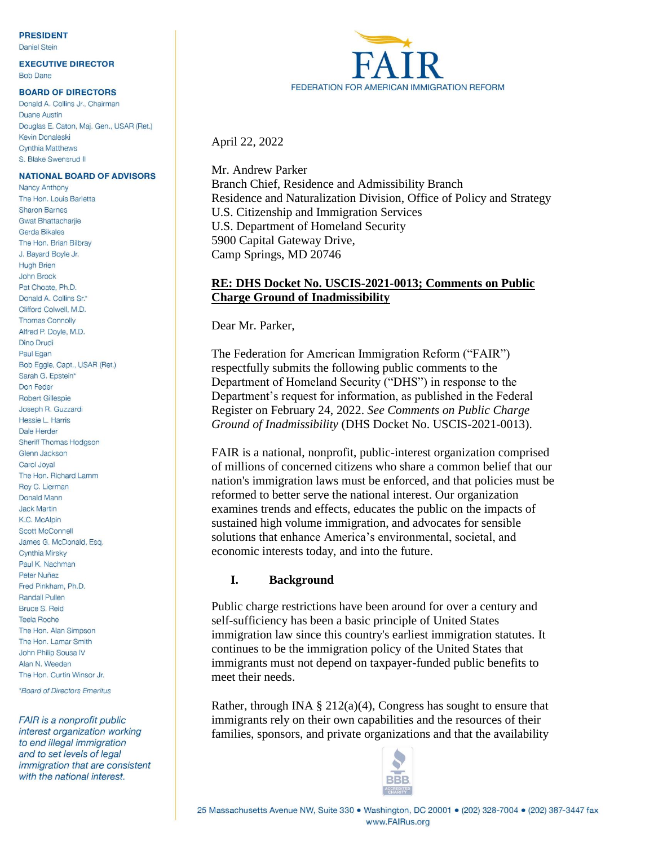#### **PRESIDENT**

**Daniel Stein** 

**EXECUTIVE DIRECTOR Bob Dane** 

#### **BOARD OF DIRECTORS**

Donald A. Collins Jr., Chairman Duane Austin Douglas E. Caton, Maj. Gen., USAR (Ret.) Kevin Donaleski Cynthia Matthews S. Blake Swensrud II

#### **NATIONAL BOARD OF ADVISORS**

**Nancy Anthony** The Hon Louis Barletta Sharon Barnes **Gwat Bhattacharije** Gerda Bikales The Hon. Brian Bilbray J. Bayard Boyle Jr. **Hugh Brien** John Brock Pat Choate, Ph.D. Donald A. Collins Sr.\* Clifford Colwell, M.D. **Thomas Connolly** Alfred P. Doyle, M.D. Dino Drudi Paul Egan Bob Eggle, Capt., USAR (Ret.) Sarah G. Epstein\* Don Feder **Robert Gillespie** Joseph R. Guzzardi Hessie L. Harris Dale Herder Sheriff Thomas Hodgson Glenn Jackson Carol Joval The Hon. Richard Lamm Roy C. Lierman Donald Mann **Jack Martin** K.C. McAlpin **Scott McConnell** James G. McDonald, Esq. Cynthia Mirsky Paul K. Nachman Peter Nuñez Fred Pinkham, Ph.D. **Randall Pullen** Bruce S. Reid **Teela Roche** The Hon. Alan Simpson The Hon. Lamar Smith John Philip Sousa IV Alan N. Weeden The Hon. Curtin Winsor Jr.

\*Board of Directors Emeritus

**FAIR** is a nonprofit public interest organization working to end illegal immigration and to set levels of legal immigration that are consistent with the national interest.



April 22, 2022

Mr. Andrew Parker Branch Chief, Residence and Admissibility Branch Residence and Naturalization Division, Office of Policy and Strategy U.S. Citizenship and Immigration Services U.S. Department of Homeland Security 5900 Capital Gateway Drive, Camp Springs, MD 20746

### **RE: DHS Docket No. USCIS-2021-0013; Comments on Public Charge Ground of Inadmissibility**

Dear Mr. Parker,

The Federation for American Immigration Reform ("FAIR") respectfully submits the following public comments to the Department of Homeland Security ("DHS") in response to the Department's request for information, as published in the Federal Register on February 24, 2022. *See Comments on Public Charge Ground of Inadmissibility* (DHS Docket No. USCIS-2021-0013).

FAIR is a national, nonprofit, public-interest organization comprised of millions of concerned citizens who share a common belief that our nation's immigration laws must be enforced, and that policies must be reformed to better serve the national interest. Our organization examines trends and effects, educates the public on the impacts of sustained high volume immigration, and advocates for sensible solutions that enhance America's environmental, societal, and economic interests today, and into the future.

### **I. Background**

Public charge restrictions have been around for over a century and self-sufficiency has been a basic principle of United States immigration law since this country's earliest immigration statutes. It continues to be the immigration policy of the United States that immigrants must not depend on taxpayer-funded public benefits to meet their needs.

Rather, through INA  $\S 212(a)(4)$ , Congress has sought to ensure that immigrants rely on their own capabilities and the resources of their families, sponsors, and private organizations and that the availability

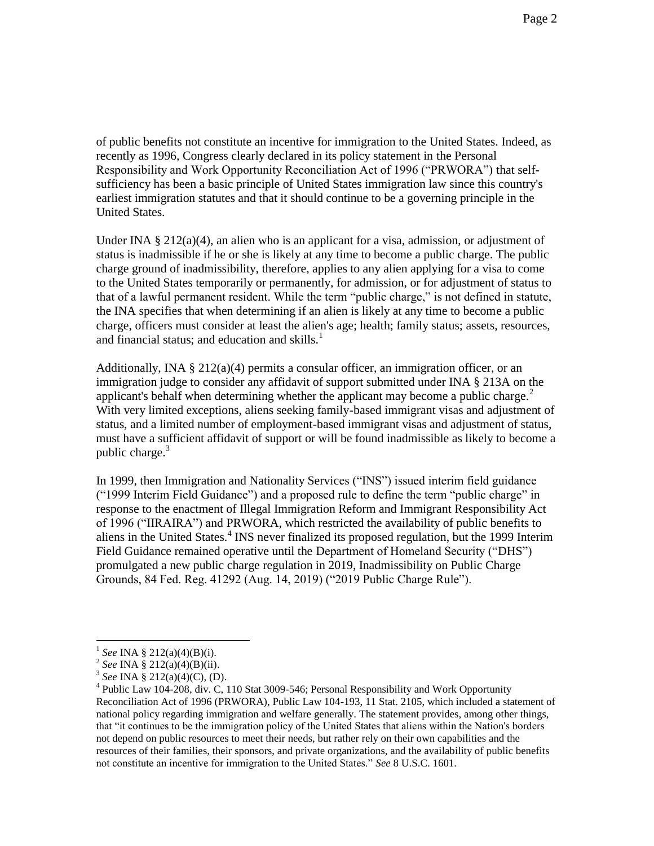of public benefits not constitute an incentive for immigration to the United States. Indeed, as recently as 1996, Congress clearly declared in its policy statement in the Personal Responsibility and Work Opportunity Reconciliation Act of 1996 ("PRWORA") that selfsufficiency has been a basic principle of United States immigration law since this country's earliest immigration statutes and that it should continue to be a governing principle in the United States.

Under INA  $\S 212(a)(4)$ , an alien who is an applicant for a visa, admission, or adjustment of status is inadmissible if he or she is likely at any time to become a public charge. The public charge ground of inadmissibility, therefore, applies to any alien applying for a visa to come to the United States temporarily or permanently, for admission, or for adjustment of status to that of a lawful permanent resident. While the term "public charge," is not defined in statute, the INA specifies that when determining if an alien is likely at any time to become a public charge, officers must consider at least the alien's age; health; family status; assets, resources, and financial status; and education and skills. $<sup>1</sup>$ </sup>

Additionally, INA  $\S 212(a)(4)$  permits a consular officer, an immigration officer, or an immigration judge to consider any affidavit of support submitted under INA § 213A on the applicant's behalf when determining whether the applicant may become a public charge.<sup>2</sup> With very limited exceptions, aliens seeking family-based immigrant visas and adjustment of status, and a limited number of employment-based immigrant visas and adjustment of status, must have a sufficient affidavit of support or will be found inadmissible as likely to become a public charge. $3$ 

In 1999, then Immigration and Nationality Services ("INS") issued interim field guidance ("1999 Interim Field Guidance") and a proposed rule to define the term "public charge" in response to the enactment of Illegal Immigration Reform and Immigrant Responsibility Act of 1996 ("IIRAIRA") and PRWORA, which restricted the availability of public benefits to aliens in the United States.<sup>4</sup> INS never finalized its proposed regulation, but the 1999 Interim Field Guidance remained operative until the Department of Homeland Security ("DHS") promulgated a new public charge regulation in 2019, Inadmissibility on Public Charge Grounds, 84 Fed. Reg. 41292 (Aug. 14, 2019) ("2019 Public Charge Rule").

<sup>1</sup> *See* INA § 212(a)(4)(B)(i).

<sup>2</sup> *See* INA § 212(a)(4)(B)(ii).

<sup>3</sup> *See* INA § 212(a)(4)(C), (D).

 $4$  Public Law 104-208, div. C, 110 Stat 3009-546; Personal Responsibility and Work Opportunity Reconciliation Act of 1996 (PRWORA), Public Law 104-193, 11 Stat. 2105, which included a statement of national policy regarding immigration and welfare generally. The statement provides, among other things, that "it continues to be the immigration policy of the United States that aliens within the Nation's borders not depend on public resources to meet their needs, but rather rely on their own capabilities and the resources of their families, their sponsors, and private organizations, and the availability of public benefits not constitute an incentive for immigration to the United States." *See* 8 U.S.C. 1601.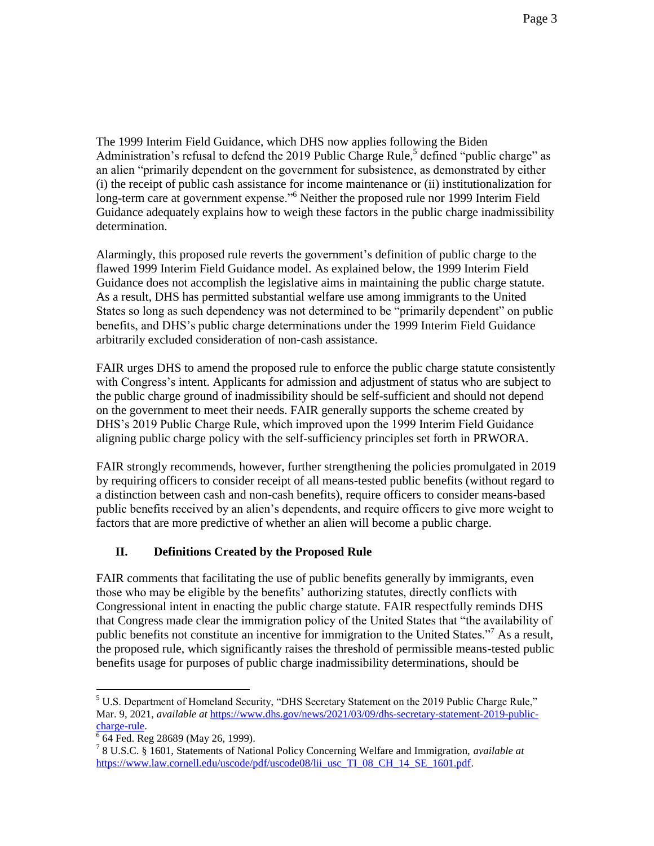The 1999 Interim Field Guidance, which DHS now applies following the Biden Administration's refusal to defend the 2019 Public Charge Rule,<sup>5</sup> defined "public charge" as an alien "primarily dependent on the government for subsistence, as demonstrated by either (i) the receipt of public cash assistance for income maintenance or (ii) institutionalization for long-term care at government expense."<sup>6</sup> Neither the proposed rule nor 1999 Interim Field Guidance adequately explains how to weigh these factors in the public charge inadmissibility determination.

Alarmingly, this proposed rule reverts the government's definition of public charge to the flawed 1999 Interim Field Guidance model. As explained below, the 1999 Interim Field Guidance does not accomplish the legislative aims in maintaining the public charge statute. As a result, DHS has permitted substantial welfare use among immigrants to the United States so long as such dependency was not determined to be "primarily dependent" on public benefits, and DHS's public charge determinations under the 1999 Interim Field Guidance arbitrarily excluded consideration of non-cash assistance.

FAIR urges DHS to amend the proposed rule to enforce the public charge statute consistently with Congress's intent. Applicants for admission and adjustment of status who are subject to the public charge ground of inadmissibility should be self-sufficient and should not depend on the government to meet their needs. FAIR generally supports the scheme created by DHS's 2019 Public Charge Rule, which improved upon the 1999 Interim Field Guidance aligning public charge policy with the self-sufficiency principles set forth in PRWORA.

FAIR strongly recommends, however, further strengthening the policies promulgated in 2019 by requiring officers to consider receipt of all means-tested public benefits (without regard to a distinction between cash and non-cash benefits), require officers to consider means-based public benefits received by an alien's dependents, and require officers to give more weight to factors that are more predictive of whether an alien will become a public charge.

# **II. Definitions Created by the Proposed Rule**

FAIR comments that facilitating the use of public benefits generally by immigrants, even those who may be eligible by the benefits' authorizing statutes, directly conflicts with Congressional intent in enacting the public charge statute. FAIR respectfully reminds DHS that Congress made clear the immigration policy of the United States that "the availability of public benefits not constitute an incentive for immigration to the United States."<sup>7</sup> As a result, the proposed rule, which significantly raises the threshold of permissible means-tested public benefits usage for purposes of public charge inadmissibility determinations, should be

 $<sup>5</sup>$  U.S. Department of Homeland Security, "DHS Secretary Statement on the 2019 Public Charge Rule,"</sup> Mar. 9, 2021, *available at [https://www.dhs.gov/news/2021/03/09/dhs-secretary-statement-2019-public](https://www.dhs.gov/news/2021/03/09/dhs-secretary-statement-2019-public-charge-rule)*[charge-rule.](https://www.dhs.gov/news/2021/03/09/dhs-secretary-statement-2019-public-charge-rule) 

<sup>6</sup> 64 Fed. Reg 28689 (May 26, 1999).

<sup>7</sup> 8 U.S.C. § 1601, Statements of National Policy Concerning Welfare and Immigration, *available at*  [https://www.law.cornell.edu/uscode/pdf/uscode08/lii\\_usc\\_TI\\_08\\_CH\\_14\\_SE\\_1601.pdf.](https://www.law.cornell.edu/uscode/pdf/uscode08/lii_usc_TI_08_CH_14_SE_1601.pdf)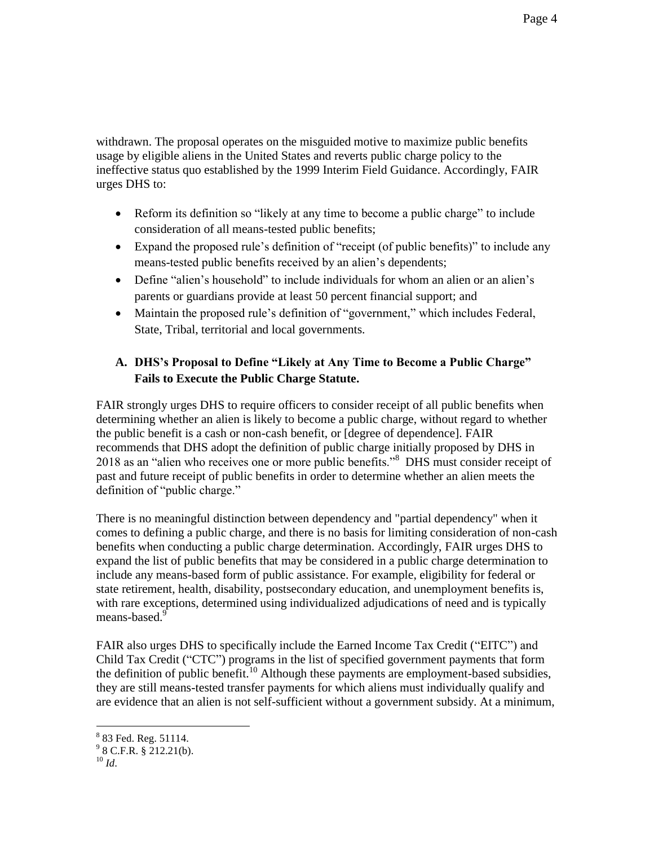withdrawn. The proposal operates on the misguided motive to maximize public benefits usage by eligible aliens in the United States and reverts public charge policy to the ineffective status quo established by the 1999 Interim Field Guidance. Accordingly, FAIR urges DHS to:

- Reform its definition so "likely at any time to become a public charge" to include consideration of all means-tested public benefits;
- Expand the proposed rule's definition of "receipt (of public benefits)" to include any means-tested public benefits received by an alien's dependents;
- Define "alien's household" to include individuals for whom an alien or an alien's parents or guardians provide at least 50 percent financial support; and
- Maintain the proposed rule's definition of "government," which includes Federal, State, Tribal, territorial and local governments.

# **A. DHS's Proposal to Define "Likely at Any Time to Become a Public Charge" Fails to Execute the Public Charge Statute.**

FAIR strongly urges DHS to require officers to consider receipt of all public benefits when determining whether an alien is likely to become a public charge, without regard to whether the public benefit is a cash or non-cash benefit, or [degree of dependence]. FAIR recommends that DHS adopt the definition of public charge initially proposed by DHS in 2018 as an "alien who receives one or more public benefits."<sup>8</sup> DHS must consider receipt of past and future receipt of public benefits in order to determine whether an alien meets the definition of "public charge."

There is no meaningful distinction between dependency and "partial dependency" when it comes to defining a public charge, and there is no basis for limiting consideration of non-cash benefits when conducting a public charge determination. Accordingly, FAIR urges DHS to expand the list of public benefits that may be considered in a public charge determination to include any means-based form of public assistance. For example, eligibility for federal or state retirement, health, disability, postsecondary education, and unemployment benefits is, with rare exceptions, determined using individualized adjudications of need and is typically means-based.<sup>9</sup>

FAIR also urges DHS to specifically include the Earned Income Tax Credit ("EITC") and Child Tax Credit ("CTC") programs in the list of specified government payments that form the definition of public benefit.<sup>10</sup> Although these payments are employment-based subsidies, they are still means-tested transfer payments for which aliens must individually qualify and are evidence that an alien is not self-sufficient without a government subsidy. At a minimum,

 $\overline{a}$ <sup>8</sup> 83 Fed. Reg. 51114.

 $9^9$  8 C.F.R. § 212.21(b).

 $10 \,$ *Id.*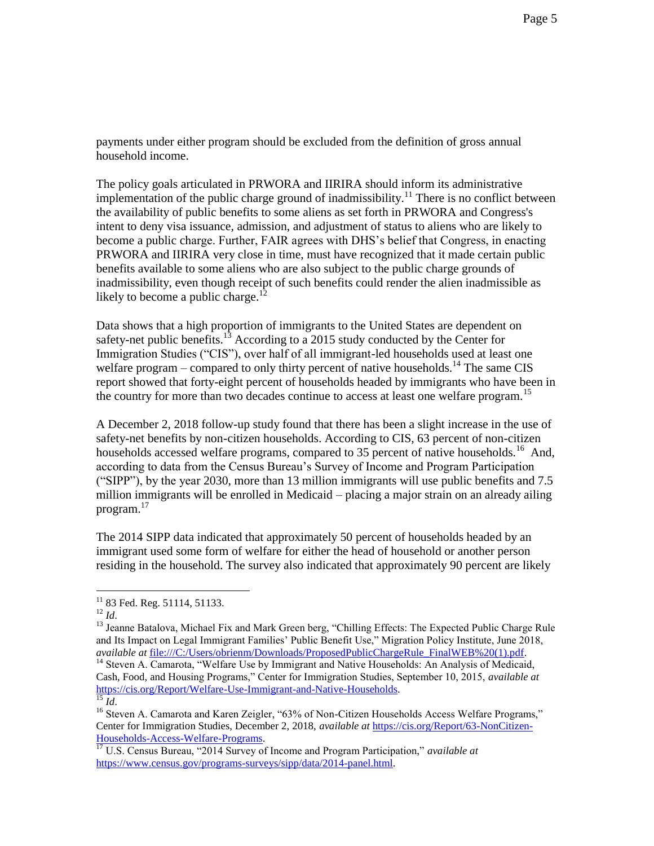payments under either program should be excluded from the definition of gross annual household income.

The policy goals articulated in PRWORA and IIRIRA should inform its administrative implementation of the public charge ground of inadmissibility.<sup>11</sup> There is no conflict between the availability of public benefits to some aliens as set forth in PRWORA and Congress's intent to deny visa issuance, admission, and adjustment of status to aliens who are likely to become a public charge. Further, FAIR agrees with DHS's belief that Congress, in enacting PRWORA and IIRIRA very close in time, must have recognized that it made certain public benefits available to some aliens who are also subject to the public charge grounds of inadmissibility, even though receipt of such benefits could render the alien inadmissible as likely to become a public charge.<sup>12</sup>

Data shows that a high proportion of immigrants to the United States are dependent on safety-net public benefits.<sup>13</sup> According to a 2015 study conducted by the Center for Immigration Studies ("CIS"), over half of all immigrant-led households used at least one welfare program – compared to only thirty percent of native households.<sup>14</sup> The same CIS report showed that forty-eight percent of households headed by immigrants who have been in the country for more than two decades continue to access at least one welfare program.<sup>15</sup>

A December 2, 2018 follow-up study found that there has been a slight increase in the use of safety-net benefits by non-citizen households. According to CIS, 63 percent of non-citizen households accessed welfare programs, compared to 35 percent of native households.<sup>16</sup> And, according to data from the Census Bureau's Survey of Income and Program Participation ("SIPP"), by the year 2030, more than 13 million immigrants will use public benefits and 7.5 million immigrants will be enrolled in Medicaid – placing a major strain on an already ailing program.<sup>17</sup>

The 2014 SIPP data indicated that approximately 50 percent of households headed by an immigrant used some form of welfare for either the head of household or another person residing in the household. The survey also indicated that approximately 90 percent are likely

 $\overline{a}$ 

<sup>14</sup> Steven A. Camarota, "Welfare Use by Immigrant and Native Households: An Analysis of Medicaid, Cash, Food, and Housing Programs," Center for Immigration Studies, September 10, 2015, *available at*  [https://cis.org/Report/Welfare-Use-Immigrant-and-Native-Households.](https://cis.org/Report/Welfare-Use-Immigrant-and-Native-Households)   $\overline{^{15}$  *Id.* 

 $11$  83 Fed. Reg. 51114, 51133.

<sup>12</sup> *Id*.

<sup>&</sup>lt;sup>13</sup> Jeanne Batalova, Michael Fix and Mark Green berg, "Chilling Effects: The Expected Public Charge Rule and Its Impact on Legal Immigrant Families' Public Benefit Use," Migration Policy Institute, June 2018, *available at file:///C:/Users/obrienm/Downloads/ProposedPublicChargeRule FinalWEB%20(1).pdf.* 

<sup>&</sup>lt;sup>16</sup> Steven A. Camarota and Karen Zeigler, "63% of Non-Citizen Households Access Welfare Programs," Center for Immigration Studies, December 2, 2018, *available at* [https://cis.org/Report/63-NonCitizen-](https://cis.org/Report/63-NonCitizen-Households-Access-Welfare-Programs)[Households-Access-Welfare-Programs.](https://cis.org/Report/63-NonCitizen-Households-Access-Welfare-Programs)

<sup>17</sup> U.S. Census Bureau, "2014 Survey of Income and Program Participation," *available at*  [https://www.census.gov/programs-surveys/sipp/data/2014-panel.html.](https://www.census.gov/programs-surveys/sipp/data/2014-panel.html)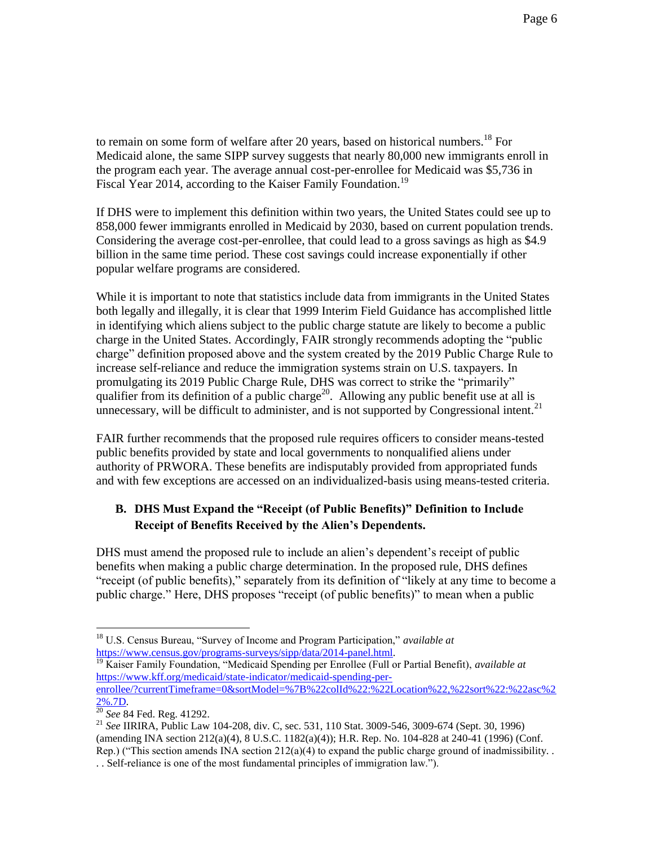to remain on some form of welfare after 20 years, based on historical numbers.<sup>18</sup> For Medicaid alone, the same SIPP survey suggests that nearly 80,000 new immigrants enroll in the program each year. The average annual cost-per-enrollee for Medicaid was \$5,736 in Fiscal Year 2014, according to the Kaiser Family Foundation.<sup>19</sup>

If DHS were to implement this definition within two years, the United States could see up to 858,000 fewer immigrants enrolled in Medicaid by 2030, based on current population trends. Considering the average cost-per-enrollee, that could lead to a gross savings as high as \$4.9 billion in the same time period. These cost savings could increase exponentially if other popular welfare programs are considered.

While it is important to note that statistics include data from immigrants in the United States both legally and illegally, it is clear that 1999 Interim Field Guidance has accomplished little in identifying which aliens subject to the public charge statute are likely to become a public charge in the United States. Accordingly, FAIR strongly recommends adopting the "public charge" definition proposed above and the system created by the 2019 Public Charge Rule to increase self-reliance and reduce the immigration systems strain on U.S. taxpayers. In promulgating its 2019 Public Charge Rule, DHS was correct to strike the "primarily" qualifier from its definition of a public charge<sup>20</sup>. Allowing any public benefit use at all is unnecessary, will be difficult to administer, and is not supported by Congressional intent.<sup>21</sup>

FAIR further recommends that the proposed rule requires officers to consider means-tested public benefits provided by state and local governments to nonqualified aliens under authority of PRWORA. These benefits are indisputably provided from appropriated funds and with few exceptions are accessed on an individualized-basis using means-tested criteria.

## **B. DHS Must Expand the "Receipt (of Public Benefits)" Definition to Include Receipt of Benefits Received by the Alien's Dependents.**

DHS must amend the proposed rule to include an alien's dependent's receipt of public benefits when making a public charge determination. In the proposed rule, DHS defines "receipt (of public benefits)," separately from its definition of "likely at any time to become a public charge." Here, DHS proposes "receipt (of public benefits)" to mean when a public

<sup>18</sup> U.S. Census Bureau, "Survey of Income and Program Participation," *available at*  [https://www.census.gov/programs-surveys/sipp/data/2014-panel.html.](https://www.census.gov/programs-surveys/sipp/data/2014-panel.html)

<sup>19</sup> Kaiser Family Foundation, "Medicaid Spending per Enrollee (Full or Partial Benefit), *available at*  [https://www.kff.org/medicaid/state-indicator/medicaid-spending-per-](https://www.kff.org/medicaid/state-indicator/medicaid-spending-per-enrollee/?currentTimeframe=0&sortModel=%7B%22colId%22:%22Location%22,%22sort%22:%22asc%22%25.7D)

[enrollee/?currentTimeframe=0&sortModel=%7B%22colId%22:%22Location%22,%22sort%22:%22asc%2](https://www.kff.org/medicaid/state-indicator/medicaid-spending-per-enrollee/?currentTimeframe=0&sortModel=%7B%22colId%22:%22Location%22,%22sort%22:%22asc%22%25.7D) [2%.7D.](https://www.kff.org/medicaid/state-indicator/medicaid-spending-per-enrollee/?currentTimeframe=0&sortModel=%7B%22colId%22:%22Location%22,%22sort%22:%22asc%22%25.7D)

<sup>20</sup> *See* 84 Fed. Reg. 41292.

<sup>21</sup> *See* IIRIRA, Public Law 104-208, div. C, sec. 531, 110 Stat. 3009-546, 3009-674 (Sept. 30, 1996) (amending INA section 212(a)(4), 8 U.S.C. 1182(a)(4)); H.R. Rep. No. 104-828 at 240-41 (1996) (Conf. Rep.) ("This section amends INA section  $212(a)(4)$  to expand the public charge ground of inadmissibility. . . Self-reliance is one of the most fundamental principles of immigration law.").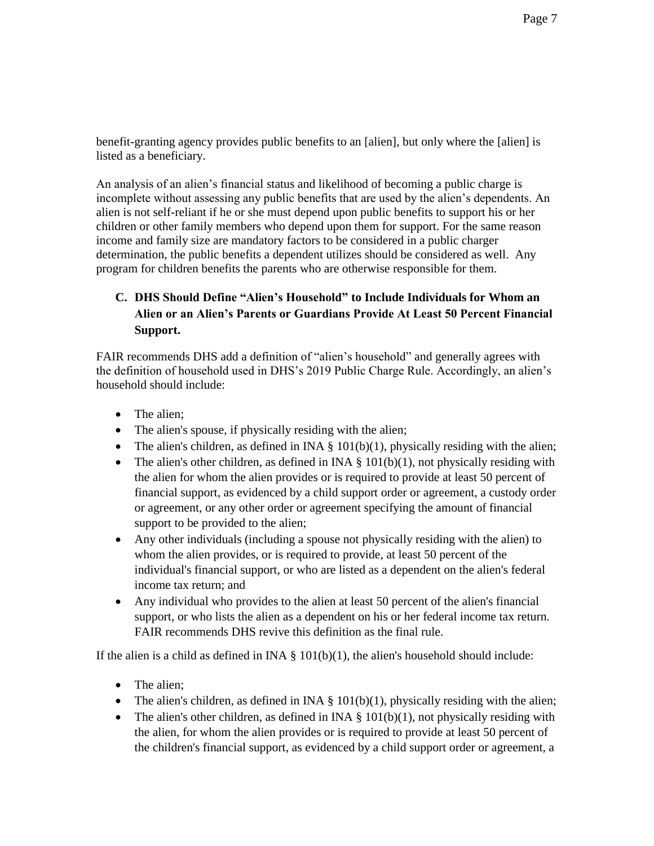benefit-granting agency provides public benefits to an [alien], but only where the [alien] is listed as a beneficiary.

An analysis of an alien's financial status and likelihood of becoming a public charge is incomplete without assessing any public benefits that are used by the alien's dependents. An alien is not self-reliant if he or she must depend upon public benefits to support his or her children or other family members who depend upon them for support. For the same reason income and family size are mandatory factors to be considered in a public charger determination, the public benefits a dependent utilizes should be considered as well. Any program for children benefits the parents who are otherwise responsible for them.

# **C. DHS Should Define "Alien's Household" to Include Individuals for Whom an Alien or an Alien's Parents or Guardians Provide At Least 50 Percent Financial Support.**

FAIR recommends DHS add a definition of "alien's household" and generally agrees with the definition of household used in DHS's 2019 Public Charge Rule. Accordingly, an alien's household should include:

- The alien;
- The alien's spouse, if physically residing with the alien;
- The alien's children, as defined in INA  $\S$  101(b)(1), physically residing with the alien;
- The alien's other children, as defined in INA  $\S$  101(b)(1), not physically residing with the alien for whom the alien provides or is required to provide at least 50 percent of financial support, as evidenced by a child support order or agreement, a custody order or agreement, or any other order or agreement specifying the amount of financial support to be provided to the alien;
- Any other individuals (including a spouse not physically residing with the alien) to whom the alien provides, or is required to provide, at least 50 percent of the individual's financial support, or who are listed as a dependent on the alien's federal income tax return; and
- Any individual who provides to the alien at least 50 percent of the alien's financial support, or who lists the alien as a dependent on his or her federal income tax return. FAIR recommends DHS revive this definition as the final rule.

If the alien is a child as defined in INA  $\S$  101(b)(1), the alien's household should include:

- The alien;
- The alien's children, as defined in INA  $\S$  101(b)(1), physically residing with the alien;
- The alien's other children, as defined in INA  $\S$  101(b)(1), not physically residing with the alien, for whom the alien provides or is required to provide at least 50 percent of the children's financial support, as evidenced by a child support order or agreement, a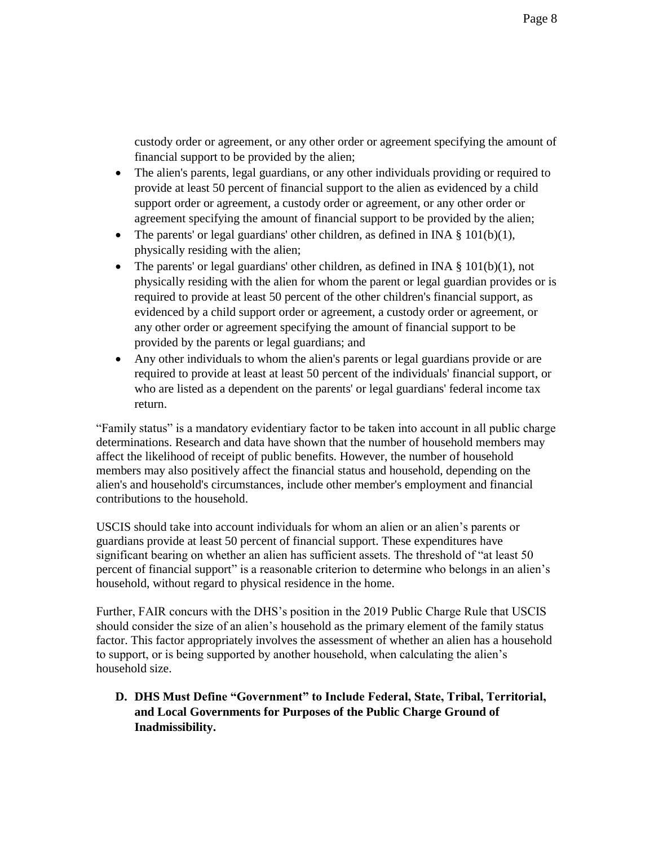custody order or agreement, or any other order or agreement specifying the amount of financial support to be provided by the alien;

- The alien's parents, legal guardians, or any other individuals providing or required to provide at least 50 percent of financial support to the alien as evidenced by a child support order or agreement, a custody order or agreement, or any other order or agreement specifying the amount of financial support to be provided by the alien;
- The parents' or legal guardians' other children, as defined in INA  $\S$  101(b)(1), physically residing with the alien;
- The parents' or legal guardians' other children, as defined in INA  $\S$  101(b)(1), not physically residing with the alien for whom the parent or legal guardian provides or is required to provide at least 50 percent of the other children's financial support, as evidenced by a child support order or agreement, a custody order or agreement, or any other order or agreement specifying the amount of financial support to be provided by the parents or legal guardians; and
- Any other individuals to whom the alien's parents or legal guardians provide or are required to provide at least at least 50 percent of the individuals' financial support, or who are listed as a dependent on the parents' or legal guardians' federal income tax return.

"Family status" is a mandatory evidentiary factor to be taken into account in all public charge determinations. Research and data have shown that the number of household members may affect the likelihood of receipt of public benefits. However, the number of household members may also positively affect the financial status and household, depending on the alien's and household's circumstances, include other member's employment and financial contributions to the household.

USCIS should take into account individuals for whom an alien or an alien's parents or guardians provide at least 50 percent of financial support. These expenditures have significant bearing on whether an alien has sufficient assets. The threshold of "at least 50 percent of financial support" is a reasonable criterion to determine who belongs in an alien's household, without regard to physical residence in the home.

Further, FAIR concurs with the DHS's position in the 2019 Public Charge Rule that USCIS should consider the size of an alien's household as the primary element of the family status factor. This factor appropriately involves the assessment of whether an alien has a household to support, or is being supported by another household, when calculating the alien's household size.

**D. DHS Must Define "Government" to Include Federal, State, Tribal, Territorial, and Local Governments for Purposes of the Public Charge Ground of Inadmissibility.**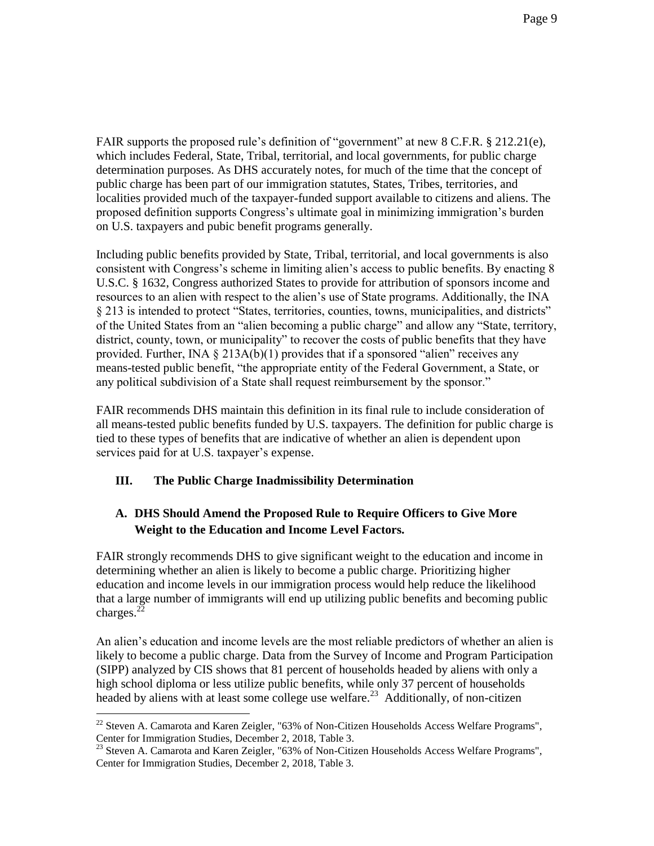FAIR supports the proposed rule's definition of "government" at new 8 C.F.R. § 212.21(e), which includes Federal, State, Tribal, territorial, and local governments, for public charge determination purposes. As DHS accurately notes, for much of the time that the concept of public charge has been part of our immigration statutes, States, Tribes, territories, and localities provided much of the taxpayer-funded support available to citizens and aliens. The proposed definition supports Congress's ultimate goal in minimizing immigration's burden on U.S. taxpayers and pubic benefit programs generally.

Including public benefits provided by State, Tribal, territorial, and local governments is also consistent with Congress's scheme in limiting alien's access to public benefits. By enacting 8 U.S.C. § 1632, Congress authorized States to provide for attribution of sponsors income and resources to an alien with respect to the alien's use of State programs. Additionally, the INA § 213 is intended to protect "States, territories, counties, towns, municipalities, and districts" of the United States from an "alien becoming a public charge" and allow any "State, territory, district, county, town, or municipality" to recover the costs of public benefits that they have provided. Further, INA  $\S 213A(b)(1)$  provides that if a sponsored "alien" receives any means-tested public benefit, "the appropriate entity of the Federal Government, a State, or any political subdivision of a State shall request reimbursement by the sponsor."

FAIR recommends DHS maintain this definition in its final rule to include consideration of all means-tested public benefits funded by U.S. taxpayers. The definition for public charge is tied to these types of benefits that are indicative of whether an alien is dependent upon services paid for at U.S. taxpayer's expense.

## **III. The Public Charge Inadmissibility Determination**

 $\overline{a}$ 

## **A. DHS Should Amend the Proposed Rule to Require Officers to Give More Weight to the Education and Income Level Factors.**

FAIR strongly recommends DHS to give significant weight to the education and income in determining whether an alien is likely to become a public charge. Prioritizing higher education and income levels in our immigration process would help reduce the likelihood that a large number of immigrants will end up utilizing public benefits and becoming public charges. $^{22}$ 

An alien's education and income levels are the most reliable predictors of whether an alien is likely to become a public charge. Data from the Survey of Income and Program Participation (SIPP) analyzed by CIS shows that 81 percent of households headed by aliens with only a high school diploma or less utilize public benefits, while only 37 percent of households headed by aliens with at least some college use welfare.<sup>23</sup> Additionally, of non-citizen

 $^{22}$  Steven A. Camarota and Karen Zeigler, "63% of Non-Citizen Households Access Welfare Programs", Center for Immigration Studies, December 2, 2018, Table 3.

 $^{23}$  Steven A. Camarota and Karen Zeigler, "63% of Non-Citizen Households Access Welfare Programs", Center for Immigration Studies, December 2, 2018, Table 3.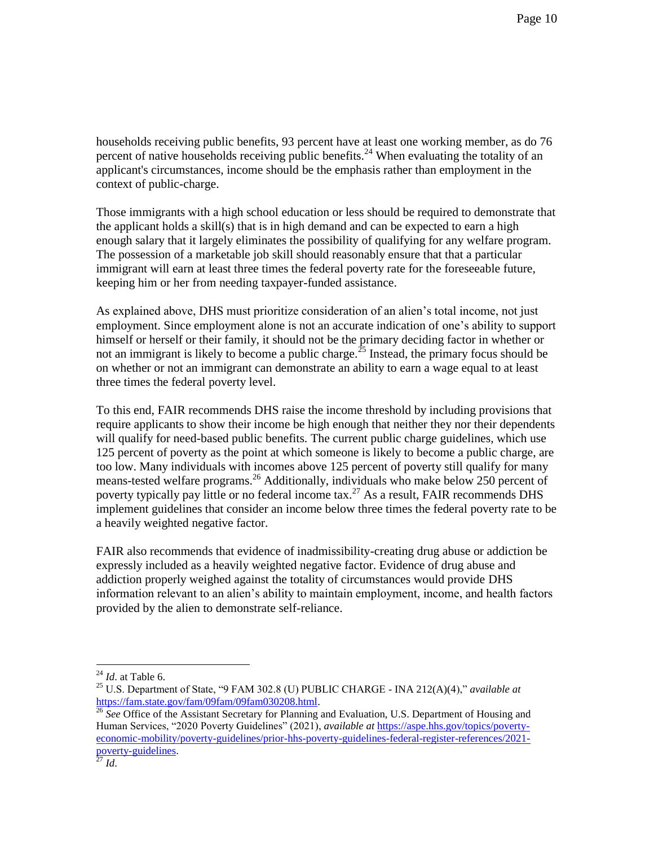households receiving public benefits, 93 percent have at least one working member, as do 76 percent of native households receiving public benefits.<sup>24</sup> When evaluating the totality of an applicant's circumstances, income should be the emphasis rather than employment in the context of public-charge.

Those immigrants with a high school education or less should be required to demonstrate that the applicant holds a skill(s) that is in high demand and can be expected to earn a high enough salary that it largely eliminates the possibility of qualifying for any welfare program. The possession of a marketable job skill should reasonably ensure that that a particular immigrant will earn at least three times the federal poverty rate for the foreseeable future, keeping him or her from needing taxpayer-funded assistance.

As explained above, DHS must prioritize consideration of an alien's total income, not just employment. Since employment alone is not an accurate indication of one's ability to support himself or herself or their family, it should not be the primary deciding factor in whether or not an immigrant is likely to become a public charge.<sup>25</sup> Instead, the primary focus should be on whether or not an immigrant can demonstrate an ability to earn a wage equal to at least three times the federal poverty level.

To this end, FAIR recommends DHS raise the income threshold by including provisions that require applicants to show their income be high enough that neither they nor their dependents will qualify for need-based public benefits. The current public charge guidelines, which use 125 percent of poverty as the point at which someone is likely to become a public charge, are too low. Many individuals with incomes above 125 percent of poverty still qualify for many means-tested welfare programs.<sup>26</sup> Additionally, individuals who make below 250 percent of poverty typically pay little or no federal income tax.<sup>27</sup> As a result, FAIR recommends DHS implement guidelines that consider an income below three times the federal poverty rate to be a heavily weighted negative factor.

FAIR also recommends that evidence of inadmissibility-creating drug abuse or addiction be expressly included as a heavily weighted negative factor. Evidence of drug abuse and addiction properly weighed against the totality of circumstances would provide DHS information relevant to an alien's ability to maintain employment, income, and health factors provided by the alien to demonstrate self-reliance.

<sup>24</sup> *Id*. at Table 6.

<sup>25</sup> U.S. Department of State, "9 FAM 302.8 (U) PUBLIC CHARGE - INA 212(A)(4)," *available at*  [https://fam.state.gov/fam/09fam/09fam030208.html.](https://fam.state.gov/fam/09fam/09fam030208.html) 

<sup>&</sup>lt;sup>26</sup> See Office of the Assistant Secretary for Planning and Evaluation, U.S. Department of Housing and Human Services, "2020 Poverty Guidelines" (2021), *available at* [https://aspe.hhs.gov/topics/poverty](https://aspe.hhs.gov/topics/poverty-economic-mobility/poverty-guidelines/prior-hhs-poverty-guidelines-federal-register-references/2021-poverty-guidelines)[economic-mobility/poverty-guidelines/prior-hhs-poverty-guidelines-federal-register-references/2021](https://aspe.hhs.gov/topics/poverty-economic-mobility/poverty-guidelines/prior-hhs-poverty-guidelines-federal-register-references/2021-poverty-guidelines) [poverty-guidelines.](https://aspe.hhs.gov/topics/poverty-economic-mobility/poverty-guidelines/prior-hhs-poverty-guidelines-federal-register-references/2021-poverty-guidelines)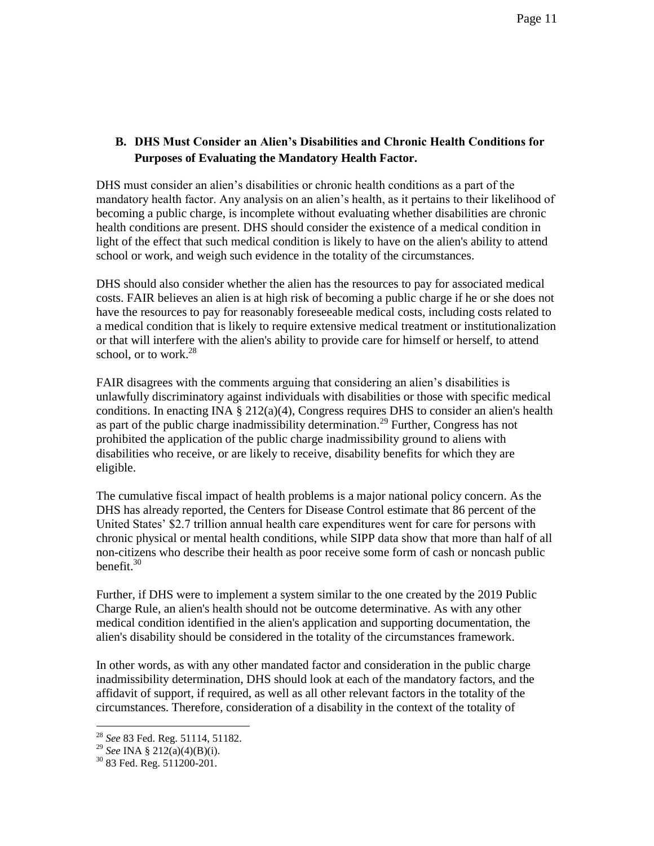## **B. DHS Must Consider an Alien's Disabilities and Chronic Health Conditions for Purposes of Evaluating the Mandatory Health Factor.**

DHS must consider an alien's disabilities or chronic health conditions as a part of the mandatory health factor. Any analysis on an alien's health, as it pertains to their likelihood of becoming a public charge, is incomplete without evaluating whether disabilities are chronic health conditions are present. DHS should consider the existence of a medical condition in light of the effect that such medical condition is likely to have on the alien's ability to attend school or work, and weigh such evidence in the totality of the circumstances.

DHS should also consider whether the alien has the resources to pay for associated medical costs. FAIR believes an alien is at high risk of becoming a public charge if he or she does not have the resources to pay for reasonably foreseeable medical costs, including costs related to a medical condition that is likely to require extensive medical treatment or institutionalization or that will interfere with the alien's ability to provide care for himself or herself, to attend school, or to work. $28$ 

FAIR disagrees with the comments arguing that considering an alien's disabilities is unlawfully discriminatory against individuals with disabilities or those with specific medical conditions. In enacting INA § 212(a)(4), Congress requires DHS to consider an alien's health as part of the public charge inadmissibility determination.<sup>29</sup> Further, Congress has not prohibited the application of the public charge inadmissibility ground to aliens with disabilities who receive, or are likely to receive, disability benefits for which they are eligible.

The cumulative fiscal impact of health problems is a major national policy concern. As the DHS has already reported, the Centers for Disease Control estimate that 86 percent of the United States' \$2.7 trillion annual health care expenditures went for care for persons with chronic physical or mental health conditions, while SIPP data show that more than half of all non-citizens who describe their health as poor receive some form of cash or noncash public benefit. $30$ 

Further, if DHS were to implement a system similar to the one created by the 2019 Public Charge Rule, an alien's health should not be outcome determinative. As with any other medical condition identified in the alien's application and supporting documentation, the alien's disability should be considered in the totality of the circumstances framework.

In other words, as with any other mandated factor and consideration in the public charge inadmissibility determination, DHS should look at each of the mandatory factors, and the affidavit of support, if required, as well as all other relevant factors in the totality of the circumstances. Therefore, consideration of a disability in the context of the totality of

<sup>28</sup> *See* 83 Fed. Reg. 51114, 51182.

<sup>29</sup> *See* INA § 212(a)(4)(B)(i).

 $30$  83 Fed. Reg. 511200-201.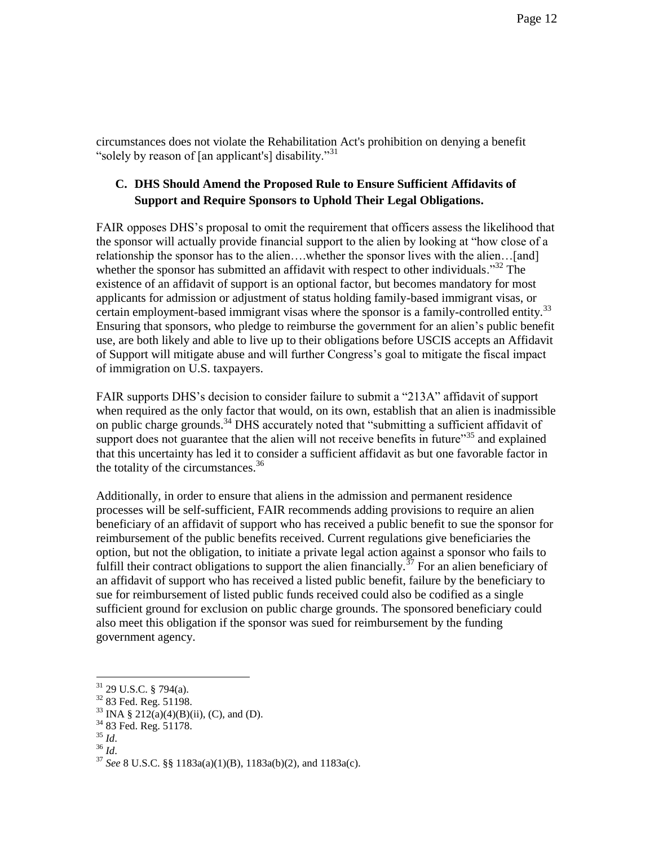circumstances does not violate the Rehabilitation Act's prohibition on denying a benefit "solely by reason of [an applicant's] disability."<sup>31</sup>

## **C. DHS Should Amend the Proposed Rule to Ensure Sufficient Affidavits of Support and Require Sponsors to Uphold Their Legal Obligations.**

FAIR opposes DHS's proposal to omit the requirement that officers assess the likelihood that the sponsor will actually provide financial support to the alien by looking at "how close of a relationship the sponsor has to the alien….whether the sponsor lives with the alien…[and] whether the sponsor has submitted an affidavit with respect to other individuals."<sup>32</sup> The existence of an affidavit of support is an optional factor, but becomes mandatory for most applicants for admission or adjustment of status holding family-based immigrant visas, or certain employment-based immigrant visas where the sponsor is a family-controlled entity.<sup>33</sup> Ensuring that sponsors, who pledge to reimburse the government for an alien's public benefit use, are both likely and able to live up to their obligations before USCIS accepts an Affidavit of Support will mitigate abuse and will further Congress's goal to mitigate the fiscal impact of immigration on U.S. taxpayers.

FAIR supports DHS's decision to consider failure to submit a "213A" affidavit of support when required as the only factor that would, on its own, establish that an alien is inadmissible on public charge grounds.<sup>34</sup> DHS accurately noted that "submitting a sufficient affidavit of support does not guarantee that the alien will not receive benefits in future $35$  and explained that this uncertainty has led it to consider a sufficient affidavit as but one favorable factor in the totality of the circumstances.<sup>36</sup>

Additionally, in order to ensure that aliens in the admission and permanent residence processes will be self-sufficient, FAIR recommends adding provisions to require an alien beneficiary of an affidavit of support who has received a public benefit to sue the sponsor for reimbursement of the public benefits received. Current regulations give beneficiaries the option, but not the obligation, to initiate a private legal action against a sponsor who fails to fulfill their contract obligations to support the alien financially.<sup>37</sup> For an alien beneficiary of an affidavit of support who has received a listed public benefit, failure by the beneficiary to sue for reimbursement of listed public funds received could also be codified as a single sufficient ground for exclusion on public charge grounds. The sponsored beneficiary could also meet this obligation if the sponsor was sued for reimbursement by the funding government agency.

 $31$  29 U.S.C. § 794(a).

<sup>&</sup>lt;sup>32</sup> 83 Fed. Reg. 51198.

<sup>&</sup>lt;sup>33</sup> INA § 212(a)(4)(B)(ii), (C), and (D).

 $34$  83 Fed. Reg. 51178.

 $35$   $\overline{Id}$ .

<sup>36</sup> *Id*.

<sup>37</sup> *See* 8 U.S.C. §§ 1183a(a)(1)(B), 1183a(b)(2), and 1183a(c).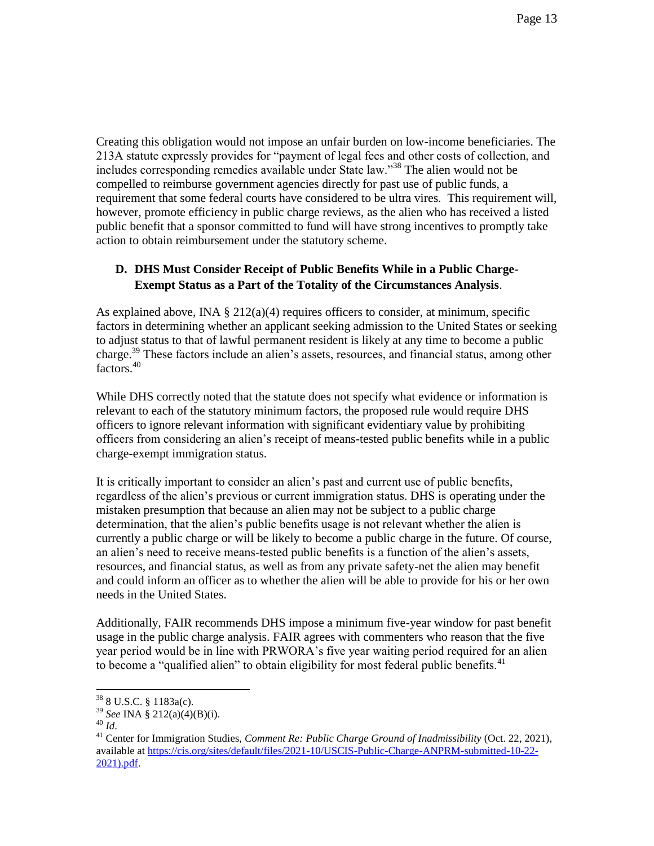Creating this obligation would not impose an unfair burden on low-income beneficiaries. The 213A statute expressly provides for "payment of legal fees and other costs of collection, and includes corresponding remedies available under State law."<sup>38</sup> The alien would not be compelled to reimburse government agencies directly for past use of public funds, a requirement that some federal courts have considered to be ultra vires. This requirement will, however, promote efficiency in public charge reviews, as the alien who has received a listed public benefit that a sponsor committed to fund will have strong incentives to promptly take action to obtain reimbursement under the statutory scheme.

## **D. DHS Must Consider Receipt of Public Benefits While in a Public Charge-Exempt Status as a Part of the Totality of the Circumstances Analysis**.

As explained above, INA  $\S 212(a)(4)$  requires officers to consider, at minimum, specific factors in determining whether an applicant seeking admission to the United States or seeking to adjust status to that of lawful permanent resident is likely at any time to become a public charge.<sup>39</sup> These factors include an alien's assets, resources, and financial status, among other factors.<sup>40</sup>

While DHS correctly noted that the statute does not specify what evidence or information is relevant to each of the statutory minimum factors, the proposed rule would require DHS officers to ignore relevant information with significant evidentiary value by prohibiting officers from considering an alien's receipt of means-tested public benefits while in a public charge-exempt immigration status.

It is critically important to consider an alien's past and current use of public benefits, regardless of the alien's previous or current immigration status. DHS is operating under the mistaken presumption that because an alien may not be subject to a public charge determination, that the alien's public benefits usage is not relevant whether the alien is currently a public charge or will be likely to become a public charge in the future. Of course, an alien's need to receive means-tested public benefits is a function of the alien's assets, resources, and financial status, as well as from any private safety-net the alien may benefit and could inform an officer as to whether the alien will be able to provide for his or her own needs in the United States.

Additionally, FAIR recommends DHS impose a minimum five-year window for past benefit usage in the public charge analysis. FAIR agrees with commenters who reason that the five year period would be in line with PRWORA's five year waiting period required for an alien to become a "qualified alien" to obtain eligibility for most federal public benefits. $41$ 

 $388$  U.S.C. § 1183a(c).

<sup>39</sup> *See* INA § 212(a)(4)(B)(i).

<sup>40</sup> *Id*.

<sup>41</sup> Center for Immigration Studies, *Comment Re: Public Charge Ground of Inadmissibility* (Oct. 22, 2021), available at [https://cis.org/sites/default/files/2021-10/USCIS-Public-Charge-ANPRM-submitted-10-22-](https://cis.org/sites/default/files/2021-10/USCIS-Public-Charge-ANPRM-submitted-10-22-2021).pdf) [2021\).pdf.](https://cis.org/sites/default/files/2021-10/USCIS-Public-Charge-ANPRM-submitted-10-22-2021).pdf)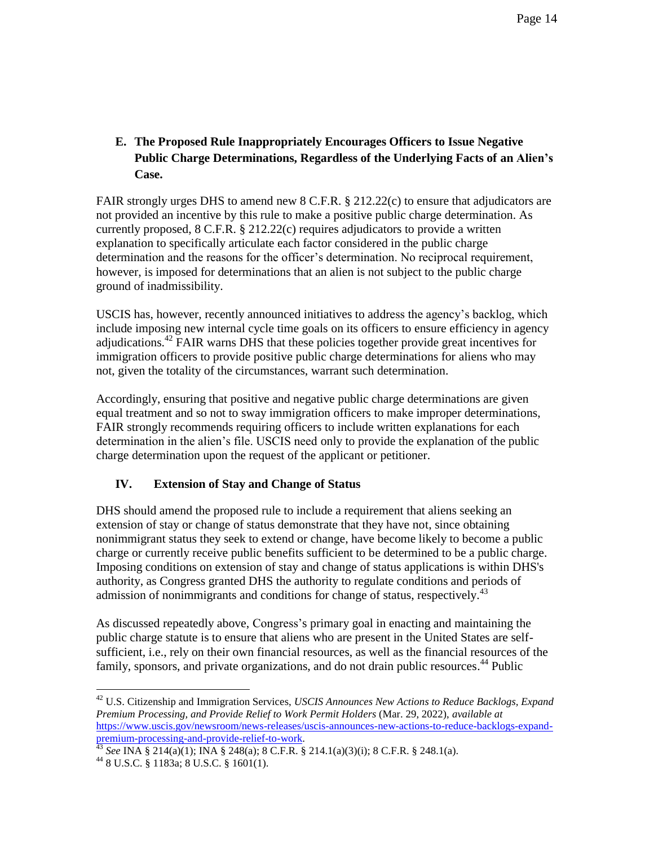**E. The Proposed Rule Inappropriately Encourages Officers to Issue Negative Public Charge Determinations, Regardless of the Underlying Facts of an Alien's Case.**

FAIR strongly urges DHS to amend new 8 C.F.R. § 212.22(c) to ensure that adjudicators are not provided an incentive by this rule to make a positive public charge determination. As currently proposed, 8 C.F.R. § 212.22(c) requires adjudicators to provide a written explanation to specifically articulate each factor considered in the public charge determination and the reasons for the officer's determination. No reciprocal requirement, however, is imposed for determinations that an alien is not subject to the public charge ground of inadmissibility.

USCIS has, however, recently announced initiatives to address the agency's backlog, which include imposing new internal cycle time goals on its officers to ensure efficiency in agency adjudications.<sup>42</sup> FAIR warns DHS that these policies together provide great incentives for immigration officers to provide positive public charge determinations for aliens who may not, given the totality of the circumstances, warrant such determination.

Accordingly, ensuring that positive and negative public charge determinations are given equal treatment and so not to sway immigration officers to make improper determinations, FAIR strongly recommends requiring officers to include written explanations for each determination in the alien's file. USCIS need only to provide the explanation of the public charge determination upon the request of the applicant or petitioner.

## **IV. Extension of Stay and Change of Status**

DHS should amend the proposed rule to include a requirement that aliens seeking an extension of stay or change of status demonstrate that they have not, since obtaining nonimmigrant status they seek to extend or change, have become likely to become a public charge or currently receive public benefits sufficient to be determined to be a public charge. Imposing conditions on extension of stay and change of status applications is within DHS's authority, as Congress granted DHS the authority to regulate conditions and periods of admission of nonimmigrants and conditions for change of status, respectively.<sup>43</sup>

As discussed repeatedly above, Congress's primary goal in enacting and maintaining the public charge statute is to ensure that aliens who are present in the United States are selfsufficient, i.e., rely on their own financial resources, as well as the financial resources of the family, sponsors, and private organizations, and do not drain public resources.<sup>44</sup> Public

<sup>42</sup> U.S. Citizenship and Immigration Services, *USCIS Announces New Actions to Reduce Backlogs, Expand Premium Processing, and Provide Relief to Work Permit Holders* (Mar. 29, 2022), *available at*  [https://www.uscis.gov/newsroom/news-releases/uscis-announces-new-actions-to-reduce-backlogs-expand](https://www.uscis.gov/newsroom/news-releases/uscis-announces-new-actions-to-reduce-backlogs-expand-premium-processing-and-provide-relief-to-work)[premium-processing-and-provide-relief-to-work.](https://www.uscis.gov/newsroom/news-releases/uscis-announces-new-actions-to-reduce-backlogs-expand-premium-processing-and-provide-relief-to-work) 

<sup>43</sup> *See* INA § 214(a)(1); INA § 248(a); 8 C.F.R. § 214.1(a)(3)(i); 8 C.F.R. § 248.1(a).

<sup>44</sup> 8 U.S.C. § 1183a; 8 U.S.C. § 1601(1).